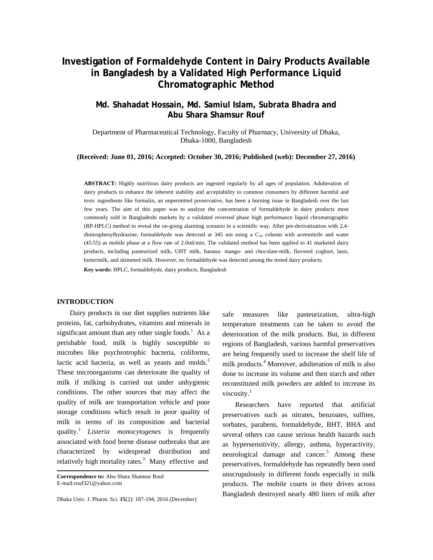# **Investigation of Formaldehyde Content in Dairy Products Available in Bangladesh by a Validated High Performance Liquid Chromatographic Method**

## **Md. Shahadat Hossain, Md. Samiul Islam, Subrata Bhadra and Abu Shara Shamsur Rouf**

Department of Pharmaceutical Technology, Faculty of Pharmacy, University of Dhaka, Dhaka-1000, Bangladesh

**(Received: June 01, 2016; Accepted: October 30, 2016; Published (web): December 27, 2016)** 

**ABSTRACT:** Highly nutritious dairy products are ingested regularly by all ages of population. Adulteration of dairy products to enhance the inherent stability and acceptability to common consumers by different harmful and toxic ingredients like formalin, an unpermitted preservative, has been a burning issue in Bangladesh over the last few years. The aim of this paper was to analyze the concentration of formaldehyde in dairy products most commonly sold in Bangladeshi markets by a validated reversed phase high performance liquid chromatographic (RP-HPLC) method to reveal the on-going alarming scenario in a scientific way. After pre-derivatization with 2,4 dinitrophenylhydrazine, formaldehyde was detected at  $345$  nm using a  $C_{18}$  column with acetonitrile and water (45:55) as mobile phase at a flow rate of 2.0ml/min. The validated method has been applied to 41 marketed dairy products, including pasteurized milk, UHT milk, banana- mango- and chocolate-milk, flavored yoghurt, lassi, buttermilk, and skimmed milk. However, no formaldehyde was detected among the tested dairy products.

**Key words:** HPLC, formaldehyde, dairy products, Bangladesh

## **INTRODUCTION**

 Dairy products in our diet supplies nutrients like proteins, fat, carbohydrates, vitamins and minerals in significant amount than any other single foods.<sup>1</sup> As a perishable food, milk is highly susceptible to microbes like psychrotrophic bacteria, coliforms, lactic acid bacteria, as well as yeasts and molds.<sup>2</sup> These microorganisms can deteriorate the quality of milk if milking is carried out under unhygienic conditions. The other sources that may affect the quality of milk are transportation vehicle and poor storage conditions which result in poor quality of milk in terms of its composition and bacterial quality.<sup>1</sup>*Listeria monocytogenes* is frequently associated with food borne disease outbreaks that are characterized by widespread distribution and relatively high mortality rates.<sup>3</sup> Many effective and

Dhaka Univ. J. Pharm. Sci. **15**(2): 187-194, 2016 (December)

safe measures like pasteurization, ultra-high temperature treatments can be taken to avoid the deterioration of the milk products. But, in different regions of Bangladesh, various harmful preservatives are being frequently used to increase the shelf life of milk products.<sup>4</sup> Moreover, adulteration of milk is also done to increase its volume and then starch and other reconstituted milk powders are added to increase its viscosity.<sup>1</sup>

 Researchers have reported that artificial preservatives such as nitrates, benzoates, sulfites, sorbates, parabens, formaldehyde, BHT, BHA and several others can cause serious health hazards such as hypersensitivity, allergy, asthma, hyperactivity, neurological damage and cancer.<sup>5</sup> Among these preservatives, formaldehyde has repeatedly been used unscrupulously in different foods especially in milk products. The mobile courts in their drives across Bangladesh destroyed nearly 480 liters of milk after

**Correspondence to:** Abu Shara Shamsur Rouf E-mail:rouf321@yahoo.com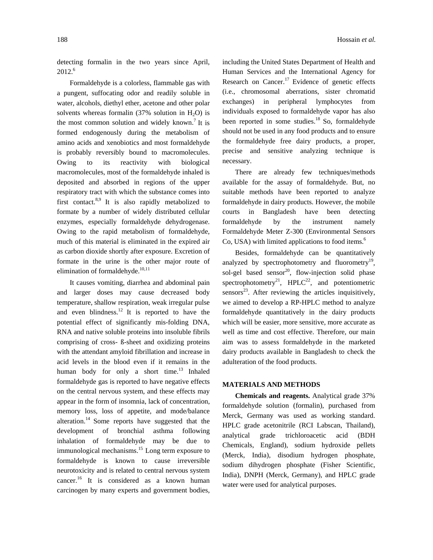detecting formalin in the two years since April, 2012.<sup>6</sup>

 Formaldehyde is a colorless, flammable gas with a pungent, suffocating odor and readily soluble in water, alcohols, diethyl ether, acetone and other polar solvents whereas formalin (37% solution in  $H_2O$ ) is the most common solution and widely known.<sup>7</sup> It is formed endogenously during the metabolism of amino acids and xenobiotics and most formaldehyde is probably reversibly bound to macromolecules. Owing to its reactivity with biological macromolecules, most of the formaldehyde inhaled is deposited and absorbed in regions of the upper respiratory tract with which the substance comes into first contact. $8,9$  It is also rapidly metabolized to formate by a number of widely distributed cellular enzymes, especially formaldehyde dehydrogenase. Owing to the rapid metabolism of formaldehyde, much of this material is eliminated in the expired air as carbon dioxide shortly after exposure. Excretion of formate in the urine is the other major route of elimination of formaldehyde. $10,11$ 

 It causes vomiting, diarrhea and abdominal pain and larger doses may cause decreased body temperature, shallow respiration, weak irregular pulse and even blindness.<sup>12</sup> It is reported to have the potential effect of significantly mis-folding DNA, RNA and native soluble proteins into insoluble fibrils comprising of cross- ß-sheet and oxidizing proteins with the attendant amyloid fibrillation and increase in acid levels in the blood even if it remains in the human body for only a short time.<sup>13</sup> Inhaled formaldehyde gas is reported to have negative effects on the central nervous system, and these effects may appear in the form of insomnia, lack of concentration, memory loss, loss of appetite, and mode/balance alteration.14 Some reports have suggested that the development of bronchial asthma following inhalation of formaldehyde may be due to immunological mechanisms.<sup>15</sup> Long term exposure to formaldehyde is known to cause irreversible neurotoxicity and is related to central nervous system cancer.<sup>16</sup> It is considered as a known human carcinogen by many experts and government bodies,

including the United States Department of Health and Human Services and the International Agency for Research on Cancer.<sup>17</sup> Evidence of genetic effects (i.e., chromosomal aberrations, sister chromatid exchanges) in peripheral lymphocytes from individuals exposed to formaldehyde vapor has also been reported in some studies.<sup>18</sup> So, formaldehyde should not be used in any food products and to ensure the formaldehyde free dairy products, a proper, precise and sensitive analyzing technique is necessary.

 There are already few techniques/methods available for the assay of formaldehyde. But, no suitable methods have been reported to analyze formaldehyde in dairy products. However, the mobile courts in Bangladesh have been detecting formaldehyde by the instrument namely Formaldehyde Meter Z-300 (Environmental Sensors Co, USA) with limited applications to food items. $<sup>6</sup>$ </sup>

 Besides, formaldehyde can be quantitatively analyzed by spectrophotometry and fluorometry<sup>19</sup>, sol-gel based sensor<sup>20</sup>, flow-injection solid phase spectrophotometry<sup>21</sup>, HPLC<sup>22</sup>, and potentiometric sensors $^{23}$ . After reviewing the articles inquisitively, we aimed to develop a RP-HPLC method to analyze formaldehyde quantitatively in the dairy products which will be easier, more sensitive, more accurate as well as time and cost effective. Therefore, our main aim was to assess formaldehyde in the marketed dairy products available in Bangladesh to check the adulteration of the food products.

## **MATERIALS AND METHODS**

 **Chemicals and reagents.** Analytical grade 37% formaldehyde solution (formalin), purchased from Merck, Germany was used as working standard. HPLC grade acetonitrile (RCI Labscan, Thailand), analytical grade trichloroacetic acid (BDH Chemicals, England), sodium hydroxide pellets (Merck, India), disodium hydrogen phosphate, sodium dihydrogen phosphate (Fisher Scientific, India), DNPH (Merck, Germany), and HPLC grade water were used for analytical purposes.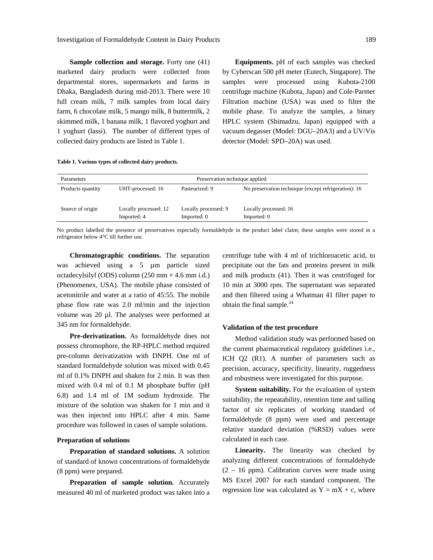**Sample collection and storage.** Forty one (41) marketed dairy products were collected from departmental stores, supermarkets and farms in Dhaka, Bangladesh during mid-2013. There were 10 full cream milk, 7 milk samples from local dairy farm, 6 chocolate milk, 5 mango milk, 8 buttermilk, 2 skimmed milk, 1 banana milk, 1 flavored yoghurt and 1 yoghurt (lassi). The number of different types of collected dairy products are listed in Table 1.

 **Equipments.** pH of each samples was checked by Cyberscan 500 pH meter (Eutech, Singapore). The samples were processed using Kubota-2100 centrifuge machine (Kubota, Japan) and Cole-Parmer Filtration machine (USA) was used to filter the mobile phase. To analyze the samples, a binary HPLC system (Shimadzu, Japan) equipped with a vacuum degasser (Model: DGU–20A3) and a UV/Vis detector (Model: SPD–20A) was used.

|  |  | Table 1. Various types of collected dairy products. |
|--|--|-----------------------------------------------------|
|  |  |                                                     |

| <b>Parameters</b> | Preservation technique applied       |                                     |                                                      |  |
|-------------------|--------------------------------------|-------------------------------------|------------------------------------------------------|--|
| Products quantity | UHT-processed: 16                    | Pasteurized: 9                      | No preservation technique (except refrigeration): 16 |  |
| Source of origin  | Locally processed: 12<br>Imported: 4 | Locally processed: 9<br>Imported: 0 | Locally processed: 16<br>Imported: 0                 |  |

No product labelled the presence of preservatives especially formaldehyde in the product label claim; these samples were stored in a refrigerator below 4°C till further use.

 **Chromatographic conditions.** The separation was achieved using a 5 µm particle sized octadecylsilyl (ODS) column  $(250 \text{ mm} \times 4.6 \text{ mm} \text{ i.d.})$ (Phenomenex, USA). The mobile phase consisted of acetonitrile and water at a ratio of 45:55. The mobile phase flow rate was 2.0 ml/min and the injection volume was 20 µl. The analyses were performed at 345 nm for formaldehyde.

 **Pre-derivatization.** As formaldehyde does not possess chromophore, the RP-HPLC method required pre-column derivatization with DNPH. One ml of standard formaldehyde solution was mixed with 0.45 ml of 0.1% DNPH and shaken for 2 min. It was then mixed with 0.4 ml of 0.1 M phosphate buffer (pH 6.8) and 1.4 ml of 1M sodium hydroxide. The mixture of the solution was shaken for 1 min and it was then injected into HPLC after 4 min. Same procedure was followed in cases of sample solutions.

## **Preparation of solutions**

 **Preparation of standard solutions.** A solution of standard of known concentrations of formaldehyde (8 ppm) were prepared.

 **Preparation of sample solution.** Accurately measured 40 ml of marketed product was taken into a centrifuge tube with 4 ml of trichloroacetic acid, to precipitate out the fats and proteins present in milk and milk products (41). Then it was centrifuged for 10 min at 3000 rpm. The supernatant was separated and then filtered using a Whatman 41 filter paper to obtain the final sample. $^{24}$ 

#### **Validation of the test procedure**

 Method validation study was performed based on the current pharmaceutical regulatory guidelines i.e., ICH Q2 (R1). A number of parameters such as precision, accuracy, specificity, linearity, ruggedness and robustness were investigated for this purpose.

**System suitability.** For the evaluation of system suitability, the repeatability, retention time and tailing factor of six replicates of working standard of formaldehyde (8 ppm) were used and percentage relative standard deviation (%RSD) values were calculated in each case.

Linearity. The linearity was checked by analyzing different concentrations of formaldehyde (2 – 16 ppm). Calibration curves were made using MS Excel 2007 for each standard component. The regression line was calculated as  $Y = mX + c$ , where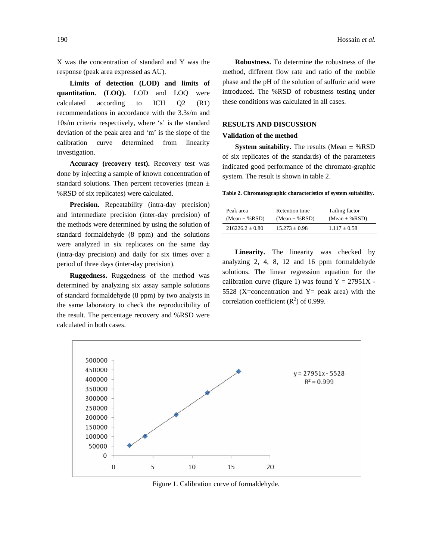X was the concentration of standard and Y was the response (peak area expressed as AU).

 **Limits of detection (LOD) and limits of quantitation. (LOQ).** LOD and LOQ were calculated according to ICH Q2 (R1) recommendations in accordance with the 3.3s/m and 10s/m criteria respectively, where 's' is the standard deviation of the peak area and 'm' is the slope of the calibration curve determined from linearity investigation.

 **Accuracy (recovery test).** Recovery test was done by injecting a sample of known concentration of standard solutions. Then percent recoveries (mean ± %RSD of six replicates) were calculated.

 **Precision.** Repeatability (intra-day precision) and intermediate precision (inter-day precision) of the methods were determined by using the solution of standard formaldehyde (8 ppm) and the solutions were analyzed in six replicates on the same day (intra-day precision) and daily for six times over a period of three days (inter-day precision).

 **Ruggedness.** Ruggedness of the method was determined by analyzing six assay sample solutions of standard formaldehyde (8 ppm) by two analysts in the same laboratory to check the reproducibility of the result. The percentage recovery and %RSD were calculated in both cases.

 **Robustness.** To determine the robustness of the method, different flow rate and ratio of the mobile phase and the pH of the solution of sulfuric acid were introduced. The %RSD of robustness testing under these conditions was calculated in all cases.

## **RESULTS AND DISCUSSION**

#### **Validation of the method**

 **System suitability.** The results (Mean *±* %RSD of six replicates of the standards) of the parameters indicated good performance of the chromato-graphic system. The result is shown in table 2.

**Table 2. Chromatographic characteristics of system suitability.** 

| Peak area           | <b>Retention</b> time | Tailing factor      |
|---------------------|-----------------------|---------------------|
| $(Mean \pm \% RSD)$ | $(Mean \pm \% RSD)$   | $(Mean \pm \% RSD)$ |
| $216226.2 + 0.80$   | $15.273 + 0.98$       | $1.117 + 0.58$      |

Linearity. The linearity was checked by analyzing 2, 4, 8, 12 and 16 ppm formaldehyde solutions. The linear regression equation for the calibration curve (figure 1) was found  $Y = 27951X$ . 5528 (X=concentration and  $Y =$  peak area) with the correlation coefficient  $(R^2)$  of 0.999.



Figure 1. Calibration curve of formaldehyde.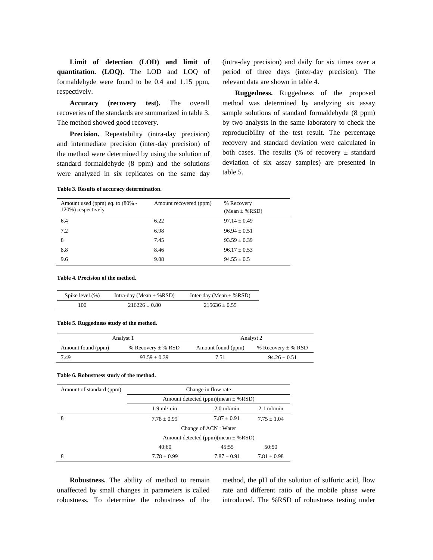**Limit of detection (LOD) and limit of quantitation. (LOQ).** The LOD and LOQ of formaldehyde were found to be 0.4 and 1.15 ppm, respectively.

 **Accuracy (recovery test).** The overall recoveries of the standards are summarized in table 3. The method showed good recovery.

 **Precision.** Repeatability (intra-day precision) and intermediate precision (inter-day precision) of the method were determined by using the solution of standard formaldehyde (8 ppm) and the solutions were analyzed in six replicates on the same day (intra-day precision) and daily for six times over a period of three days (inter-day precision). The relevant data are shown in table 4.

**Ruggedness.** Ruggedness of the proposed method was determined by analyzing six assay sample solutions of standard formaldehyde (8 ppm) by two analysts in the same laboratory to check the reproducibility of the test result. The percentage recovery and standard deviation were calculated in both cases. The results (% of recovery  $\pm$  standard deviation of six assay samples) are presented in table 5.

| Amount used (ppm) eq. to (80% -<br>120%) respectively | Amount recovered (ppm) | % Recovery<br>$(Mean \pm \% RSD)$ |
|-------------------------------------------------------|------------------------|-----------------------------------|
| 6.4                                                   | 6.22                   | $97.14 \pm 0.49$                  |
| 7.2                                                   | 6.98                   | $96.94 \pm 0.51$                  |
| 8                                                     | 7.45                   | $93.59 \pm 0.39$                  |
| 8.8                                                   | 8.46                   | $96.17 \pm 0.53$                  |
| 9.6                                                   | 9.08                   | $94.55 \pm 0.5$                   |

**Table 4. Precision of the method.** 

| Spike level (%) | Intra-day (Mean $\pm$ %RSD) | Inter-day (Mean $\pm$ %RSD) |
|-----------------|-----------------------------|-----------------------------|
| 100             | $216226 + 0.80$             | $215636 + 0.55$             |

#### **Table 5. Ruggedness study of the method.**

**Table 3. Results of accuracy determination.**

|                    | Analyst 1              | Analyst 2          |                        |  |
|--------------------|------------------------|--------------------|------------------------|--|
| Amount found (ppm) | % Recovery $\pm$ % RSD | Amount found (ppm) | % Recovery $\pm$ % RSD |  |
| 7.49               | $93.59 + 0.39$         | 7.51               | $94.26 \pm 0.51$       |  |

#### **Table 6. Robustness study of the method.**

| Amount of standard (ppm) | Change in flow rate                     |                 |                 |
|--------------------------|-----------------------------------------|-----------------|-----------------|
|                          | Amount detected (ppm)(mean $\pm$ % RSD) |                 |                 |
|                          | $1.9$ ml/min                            | $2.0$ ml/min    | $2.1$ ml/min    |
| 8                        | $7.78 \pm 0.99$                         | $7.87 \pm 0.91$ | $7.75 + 1.04$   |
|                          | Change of ACN : Water                   |                 |                 |
|                          | Amount detected (ppm)(mean $\pm$ % RSD) |                 |                 |
|                          | 40:60                                   | 45:55           | 50:50           |
| 8                        | $7.78 \pm 0.99$                         | $7.87 \pm 0.91$ | $7.81 \pm 0.98$ |

 **Robustness.** The ability of method to remain unaffected by small changes in parameters is called robustness. To determine the robustness of the method, the pH of the solution of sulfuric acid, flow rate and different ratio of the mobile phase were introduced. The %RSD of robustness testing under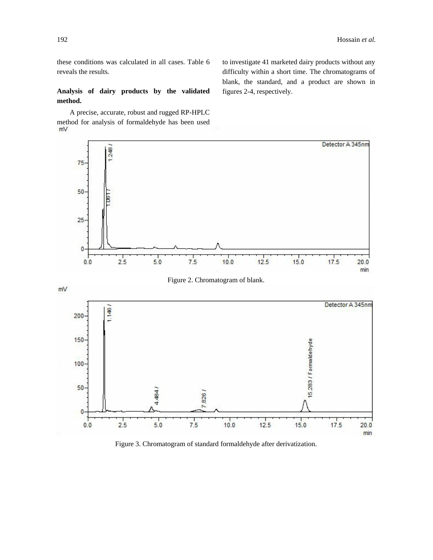these conditions was calculated in all cases. Table 6 reveals the results.

**Analysis of dairy products by the validated method.** 

 A precise, accurate, robust and rugged RP-HPLC method for analysis of formaldehyde has been used to investigate 41 marketed dairy products without any difficulty within a short time. The chromatograms of blank, the standard, and a product are shown in figures 2-4, respectively.



Figure 2. Chromatogram of blank.



Figure 3. Chromatogram of standard formaldehyde after derivatization.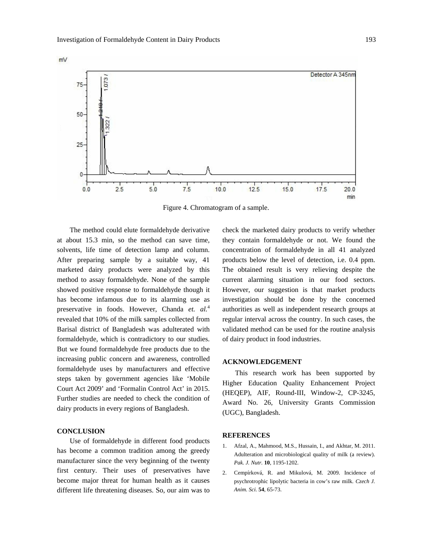mV



Figure 4. Chromatogram of a sample.

 The method could elute formaldehyde derivative at about 15.3 min, so the method can save time, solvents, life time of detection lamp and column. After preparing sample by a suitable way, 41 marketed dairy products were analyzed by this method to assay formaldehyde. None of the sample showed positive response to formaldehyde though it has become infamous due to its alarming use as preservative in foods. However, Chanda *et. al.*<sup>4</sup> revealed that 10% of the milk samples collected from Barisal district of Bangladesh was adulterated with formaldehyde, which is contradictory to our studies. But we found formaldehyde free products due to the increasing public concern and awareness, controlled formaldehyde uses by manufacturers and effective steps taken by government agencies like 'Mobile Court Act 2009' and 'Formalin Control Act' in 2015. Further studies are needed to check the condition of dairy products in every regions of Bangladesh.

## **CONCLUSION**

 Use of formaldehyde in different food products has become a common tradition among the greedy manufacturer since the very beginning of the twenty first century. Their uses of preservatives have become major threat for human health as it causes different life threatening diseases. So, our aim was to check the marketed dairy products to verify whether they contain formaldehyde or not. We found the concentration of formaldehyde in all 41 analyzed products below the level of detection, i.e. 0.4 ppm. The obtained result is very relieving despite the current alarming situation in our food sectors. However, our suggestion is that market products investigation should be done by the concerned authorities as well as independent research groups at regular interval across the country. In such cases, the validated method can be used for the routine analysis of dairy product in food industries.

#### **ACKNOWLEDGEMENT**

 This research work has been supported by Higher Education Quality Enhancement Project (HEQEP), AIF, Round-III, Window-2, CP-3245, Award No. 26, University Grants Commission (UGC), Bangladesh.

#### **REFERENCES**

- 1. Afzal, A., Mahmood, M.S., Hussain, I., and Akhtar, M. 2011. Adulteration and microbiological quality of milk (a review). *Pak. J. Nutr.* **10**, 1195-1202.
- 2. Cempírková, R. and Mikulová, M. 2009. Incidence of psychrotrophic lipolytic bacteria in cow's raw milk*. Czech J. Anim. Sci.* **54**, 65-73.